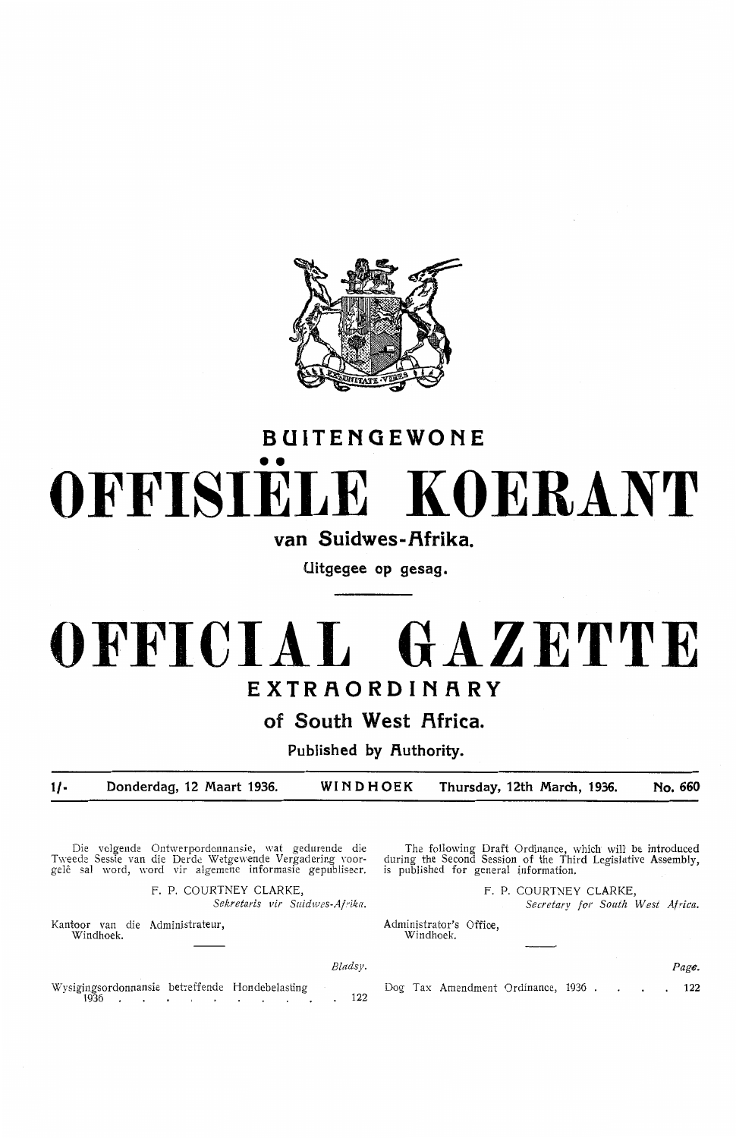

## **BUITENGEWONE**  •• **OFFISIELE KOERANT**

van Suidwes-Afrika.

**Uitgegee op gesag.** 

## **OFFICIAL GAZETTE EXTRAORDINARY**

**of South West Africa.** 

Published by Authority.

**1/- Donderdag, 12 Maart 1936. WINDHOEK Thursday, 12th March, 1936. No. 660** 

*Bladsy.* 

Die volgende Ontwerpordonnansie, wat gedurende die Tweede Sessie van die Derde Wetgewende Vergadering voor-<br>gelê sal word, word vir algemene informasie gepubliseer.

> F. P. COURTNEY CLARKE, *Sekretaris vir Suidwes-Afrika.*

Kantoor van die Administrateur, Windhoek.

The following Draft Ordinance, which will be introduced during the Second Session of the Third Legislative Assembly, is published for general information.

> F. P. COURTNEY CLARKE, *Secretary for South West Africa.*

Administrator's Office, Windhoek.

*Page.* 

Wysigingsordonnansie betreffende Hondebelasting 1936 122

Dog Tax Amendment Ordinance, 1936 . 122